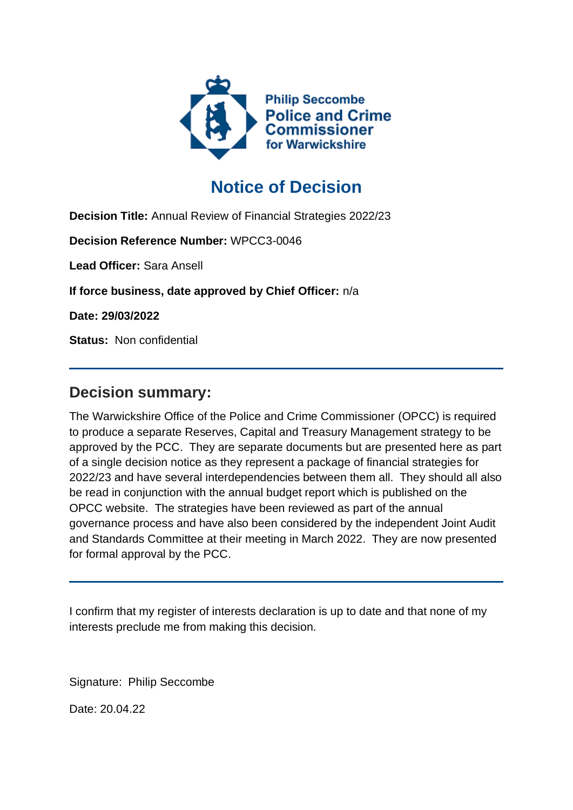

# **Notice of Decision**

**Decision Title:** Annual Review of Financial Strategies 2022/23

**Decision Reference Number:** WPCC3-0046

**Lead Officer:** Sara Ansell

**If force business, date approved by Chief Officer:** n/a

**Date: 29/03/2022**

**Status:** Non confidential

## **Decision summary:**

The Warwickshire Office of the Police and Crime Commissioner (OPCC) is required to produce a separate Reserves, Capital and Treasury Management strategy to be approved by the PCC. They are separate documents but are presented here as part of a single decision notice as they represent a package of financial strategies for 2022/23 and have several interdependencies between them all. They should all also be read in conjunction with the annual budget report which is published on the OPCC website. The strategies have been reviewed as part of the annual governance process and have also been considered by the independent Joint Audit and Standards Committee at their meeting in March 2022. They are now presented for formal approval by the PCC.

I confirm that my register of interests declaration is up to date and that none of my interests preclude me from making this decision.

Signature: Philip Seccombe

Date: 20.04.22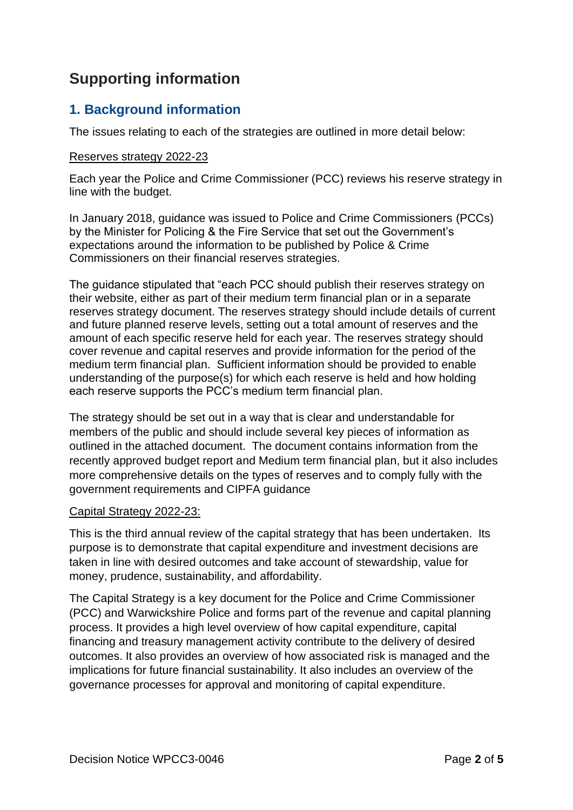# **Supporting information**

## **1. Background information**

The issues relating to each of the strategies are outlined in more detail below:

#### Reserves strategy 2022-23

Each year the Police and Crime Commissioner (PCC) reviews his reserve strategy in line with the budget.

In January 2018, guidance was issued to Police and Crime Commissioners (PCCs) by the Minister for Policing & the Fire Service that set out the Government's expectations around the information to be published by Police & Crime Commissioners on their financial reserves strategies.

The guidance stipulated that "each PCC should publish their reserves strategy on their website, either as part of their medium term financial plan or in a separate reserves strategy document. The reserves strategy should include details of current and future planned reserve levels, setting out a total amount of reserves and the amount of each specific reserve held for each year. The reserves strategy should cover revenue and capital reserves and provide information for the period of the medium term financial plan. Sufficient information should be provided to enable understanding of the purpose(s) for which each reserve is held and how holding each reserve supports the PCC's medium term financial plan.

The strategy should be set out in a way that is clear and understandable for members of the public and should include several key pieces of information as outlined in the attached document. The document contains information from the recently approved budget report and Medium term financial plan, but it also includes more comprehensive details on the types of reserves and to comply fully with the government requirements and CIPFA guidance

#### Capital Strategy 2022-23:

This is the third annual review of the capital strategy that has been undertaken. Its purpose is to demonstrate that capital expenditure and investment decisions are taken in line with desired outcomes and take account of stewardship, value for money, prudence, sustainability, and affordability.

The Capital Strategy is a key document for the Police and Crime Commissioner (PCC) and Warwickshire Police and forms part of the revenue and capital planning process. It provides a high level overview of how capital expenditure, capital financing and treasury management activity contribute to the delivery of desired outcomes. It also provides an overview of how associated risk is managed and the implications for future financial sustainability. It also includes an overview of the governance processes for approval and monitoring of capital expenditure.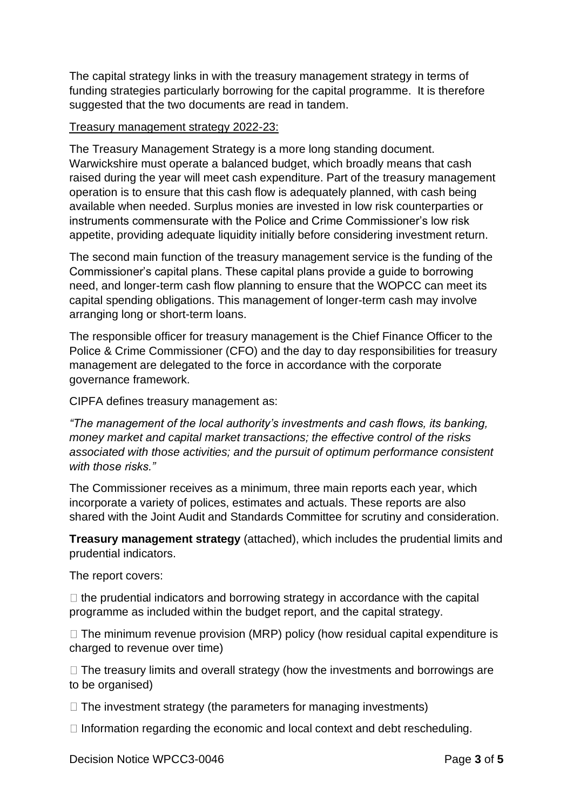The capital strategy links in with the treasury management strategy in terms of funding strategies particularly borrowing for the capital programme. It is therefore suggested that the two documents are read in tandem.

#### Treasury management strategy 2022-23:

The Treasury Management Strategy is a more long standing document. Warwickshire must operate a balanced budget, which broadly means that cash raised during the year will meet cash expenditure. Part of the treasury management operation is to ensure that this cash flow is adequately planned, with cash being available when needed. Surplus monies are invested in low risk counterparties or instruments commensurate with the Police and Crime Commissioner's low risk appetite, providing adequate liquidity initially before considering investment return.

The second main function of the treasury management service is the funding of the Commissioner's capital plans. These capital plans provide a guide to borrowing need, and longer-term cash flow planning to ensure that the WOPCC can meet its capital spending obligations. This management of longer-term cash may involve arranging long or short-term loans.

The responsible officer for treasury management is the Chief Finance Officer to the Police & Crime Commissioner (CFO) and the day to day responsibilities for treasury management are delegated to the force in accordance with the corporate governance framework.

CIPFA defines treasury management as:

*"The management of the local authority's investments and cash flows, its banking, money market and capital market transactions; the effective control of the risks associated with those activities; and the pursuit of optimum performance consistent with those risks."* 

The Commissioner receives as a minimum, three main reports each year, which incorporate a variety of polices, estimates and actuals. These reports are also shared with the Joint Audit and Standards Committee for scrutiny and consideration.

**Treasury management strategy** (attached), which includes the prudential limits and prudential indicators.

The report covers:

 $\Box$  the prudential indicators and borrowing strategy in accordance with the capital programme as included within the budget report, and the capital strategy.

 $\Box$  The minimum revenue provision (MRP) policy (how residual capital expenditure is charged to revenue over time)

 $\Box$  The treasury limits and overall strategy (how the investments and borrowings are to be organised)

 $\Box$  The investment strategy (the parameters for managing investments)

 $\Box$  Information regarding the economic and local context and debt rescheduling.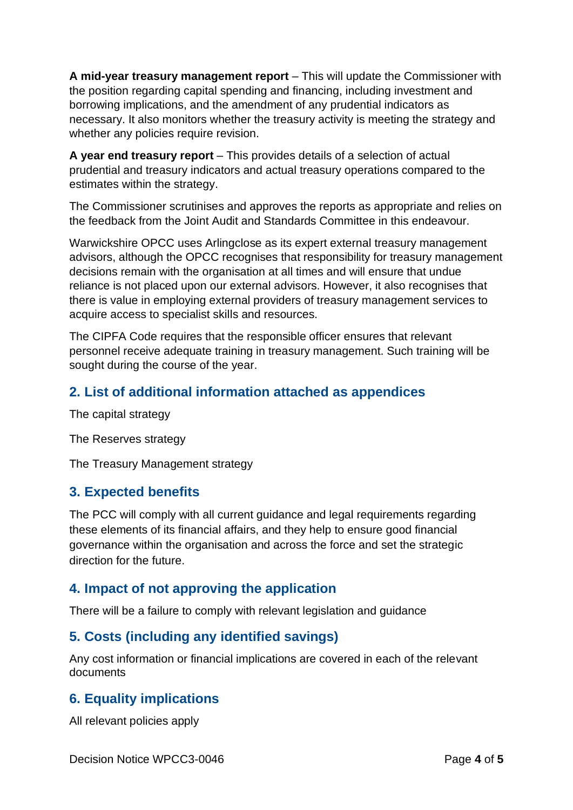**A mid-year treasury management report** – This will update the Commissioner with the position regarding capital spending and financing, including investment and borrowing implications, and the amendment of any prudential indicators as necessary. It also monitors whether the treasury activity is meeting the strategy and whether any policies require revision.

**A year end treasury report** – This provides details of a selection of actual prudential and treasury indicators and actual treasury operations compared to the estimates within the strategy.

The Commissioner scrutinises and approves the reports as appropriate and relies on the feedback from the Joint Audit and Standards Committee in this endeavour.

Warwickshire OPCC uses Arlingclose as its expert external treasury management advisors, although the OPCC recognises that responsibility for treasury management decisions remain with the organisation at all times and will ensure that undue reliance is not placed upon our external advisors. However, it also recognises that there is value in employing external providers of treasury management services to acquire access to specialist skills and resources.

The CIPFA Code requires that the responsible officer ensures that relevant personnel receive adequate training in treasury management. Such training will be sought during the course of the year.

## **2. List of additional information attached as appendices**

The capital strategy

The Reserves strategy

The Treasury Management strategy

#### **3. Expected benefits**

The PCC will comply with all current guidance and legal requirements regarding these elements of its financial affairs, and they help to ensure good financial governance within the organisation and across the force and set the strategic direction for the future.

#### **4. Impact of not approving the application**

There will be a failure to comply with relevant legislation and guidance

## **5. Costs (including any identified savings)**

Any cost information or financial implications are covered in each of the relevant documents

## **6. Equality implications**

All relevant policies apply